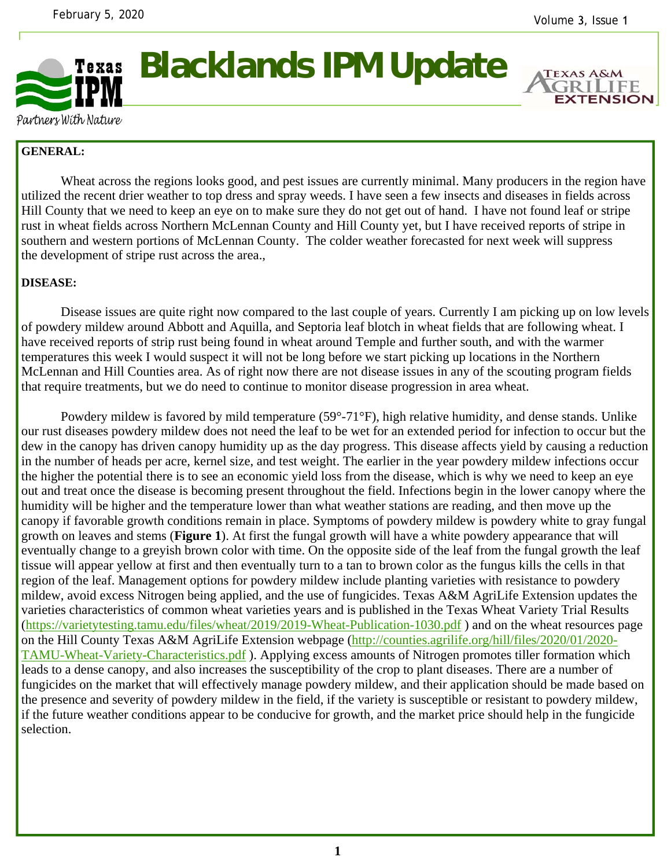

**Blacklands IPM Update** 



Partners With Nature

## **GENERAL:**

 Wheat across the regions looks good, and pest issues are currently minimal. Many producers in the region have utilized the recent drier weather to top dress and spray weeds. I have seen a few insects and diseases in fields across Hill County that we need to keep an eye on to make sure they do not get out of hand. I have not found leaf or stripe rust in wheat fields across Northern McLennan County and Hill County yet, but I have received reports of stripe in southern and western portions of McLennan County. The colder weather forecasted for next week will suppress the development of stripe rust across the area.,

## **DISEASE:**

 Disease issues are quite right now compared to the last couple of years. Currently I am picking up on low levels of powdery mildew around Abbott and Aquilla, and Septoria leaf blotch in wheat fields that are following wheat. I have received reports of strip rust being found in wheat around Temple and further south, and with the warmer temperatures this week I would suspect it will not be long before we start picking up locations in the Northern McLennan and Hill Counties area. As of right now there are not disease issues in any of the scouting program fields that require treatments, but we do need to continue to monitor disease progression in area wheat.

 Powdery mildew is favored by mild temperature (59°-71°F), high relative humidity, and dense stands. Unlike our rust diseases powdery mildew does not need the leaf to be wet for an extended period for infection to occur but the dew in the canopy has driven canopy humidity up as the day progress. This disease affects yield by causing a reduction in the number of heads per acre, kernel size, and test weight. The earlier in the year powdery mildew infections occur the higher the potential there is to see an economic yield loss from the disease, which is why we need to keep an eye out and treat once the disease is becoming present throughout the field. Infections begin in the lower canopy where the humidity will be higher and the temperature lower than what weather stations are reading, and then move up the canopy if favorable growth conditions remain in place. Symptoms of powdery mildew is powdery white to gray fungal growth on leaves and stems (**Figure 1**). At first the fungal growth will have a white powdery appearance that will eventually change to a greyish brown color with time. On the opposite side of the leaf from the fungal growth the leaf tissue will appear yellow at first and then eventually turn to a tan to brown color as the fungus kills the cells in that region of the leaf. Management options for powdery mildew include planting varieties with resistance to powdery mildew, avoid excess Nitrogen being applied, and the use of fungicides. Texas A&M AgriLife Extension updates the varieties characteristics of common wheat varieties years and is published in the Texas Wheat Variety Trial Results (https://varietytesting.tamu.edu/files/wheat/2019/2019-Wheat-Publication-1030.pdf ) and on the wheat resources page on the Hill County Texas A&M AgriLife Extension webpage (http://counties.agrilife.org/hill/files/2020/01/2020- TAMU-Wheat-Variety-Characteristics.pdf ). Applying excess amounts of Nitrogen promotes tiller formation which leads to a dense canopy, and also increases the susceptibility of the crop to plant diseases. There are a number of fungicides on the market that will effectively manage powdery mildew, and their application should be made based on the presence and severity of powdery mildew in the field, if the variety is susceptible or resistant to powdery mildew, if the future weather conditions appear to be conducive for growth, and the market price should help in the fungicide selection.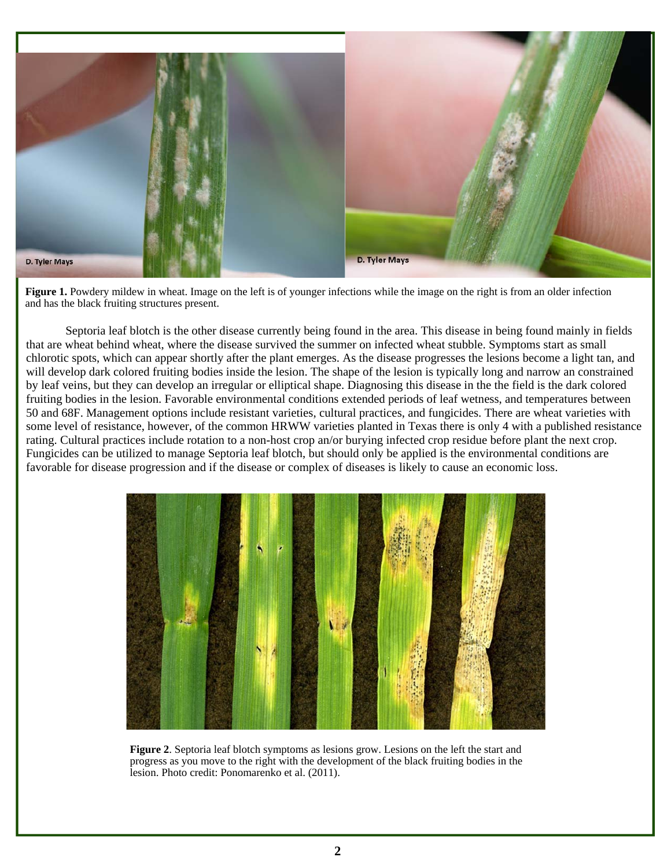

**Figure 1.** Powdery mildew in wheat. Image on the left is of younger infections while the image on the right is from an older infection and has the black fruiting structures present.

 Septoria leaf blotch is the other disease currently being found in the area. This disease in being found mainly in fields that are wheat behind wheat, where the disease survived the summer on infected wheat stubble. Symptoms start as small chlorotic spots, which can appear shortly after the plant emerges. As the disease progresses the lesions become a light tan, and will develop dark colored fruiting bodies inside the lesion. The shape of the lesion is typically long and narrow an constrained by leaf veins, but they can develop an irregular or elliptical shape. Diagnosing this disease in the the field is the dark colored fruiting bodies in the lesion. Favorable environmental conditions extended periods of leaf wetness, and temperatures between 50 and 68F. Management options include resistant varieties, cultural practices, and fungicides. There are wheat varieties with some level of resistance, however, of the common HRWW varieties planted in Texas there is only 4 with a published resistance rating. Cultural practices include rotation to a non-host crop an/or burying infected crop residue before plant the next crop. Fungicides can be utilized to manage Septoria leaf blotch, but should only be applied is the environmental conditions are favorable for disease progression and if the disease or complex of diseases is likely to cause an economic loss.



**Figure 2**. Septoria leaf blotch symptoms as lesions grow. Lesions on the left the start and progress as you move to the right with the development of the black fruiting bodies in the lesion. Photo credit: Ponomarenko et al. (2011).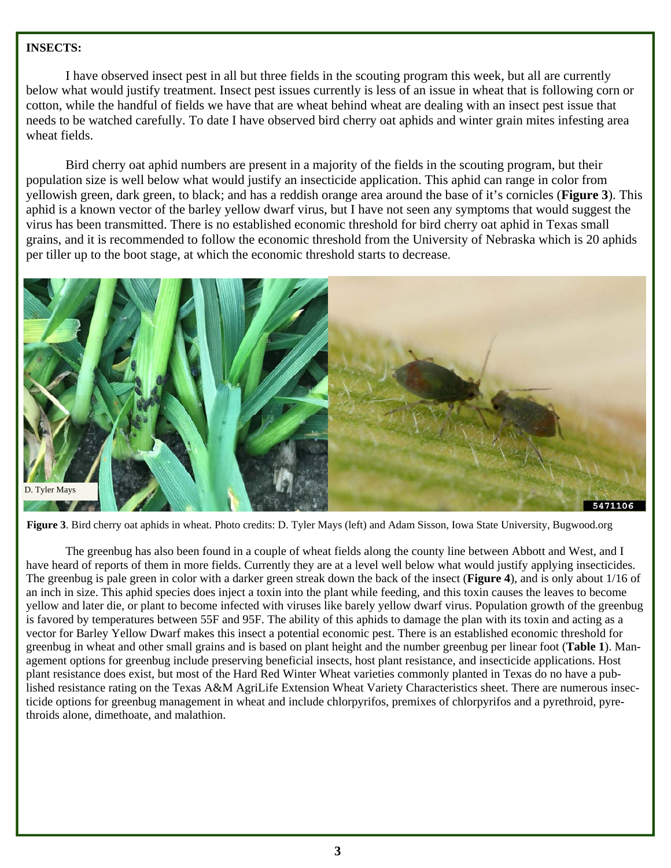## **INSECTS:**

I have observed insect pest in all but three fields in the scouting program this week, but all are currently below what would justify treatment. Insect pest issues currently is less of an issue in wheat that is following corn or cotton, while the handful of fields we have that are wheat behind wheat are dealing with an insect pest issue that needs to be watched carefully. To date I have observed bird cherry oat aphids and winter grain mites infesting area wheat fields.

 Bird cherry oat aphid numbers are present in a majority of the fields in the scouting program, but their population size is well below what would justify an insecticide application. This aphid can range in color from yellowish green, dark green, to black; and has a reddish orange area around the base of it's cornicles (**Figure 3**). This aphid is a known vector of the barley yellow dwarf virus, but I have not seen any symptoms that would suggest the virus has been transmitted. There is no established economic threshold for bird cherry oat aphid in Texas small grains, and it is recommended to follow the economic threshold from the University of Nebraska which is 20 aphids per tiller up to the boot stage, at which the economic threshold starts to decrease.



**Figure 3**. Bird cherry oat aphids in wheat. Photo credits: D. Tyler Mays (left) and Adam Sisson, Iowa State University, Bugwood.org

 The greenbug has also been found in a couple of wheat fields along the county line between Abbott and West, and I have heard of reports of them in more fields. Currently they are at a level well below what would justify applying insecticides. The greenbug is pale green in color with a darker green streak down the back of the insect (**Figure 4**), and is only about 1/16 of an inch in size. This aphid species does inject a toxin into the plant while feeding, and this toxin causes the leaves to become yellow and later die, or plant to become infected with viruses like barely yellow dwarf virus. Population growth of the greenbug is favored by temperatures between 55F and 95F. The ability of this aphids to damage the plan with its toxin and acting as a vector for Barley Yellow Dwarf makes this insect a potential economic pest. There is an established economic threshold for greenbug in wheat and other small grains and is based on plant height and the number greenbug per linear foot (**Table 1**). Management options for greenbug include preserving beneficial insects, host plant resistance, and insecticide applications. Host plant resistance does exist, but most of the Hard Red Winter Wheat varieties commonly planted in Texas do no have a published resistance rating on the Texas A&M AgriLife Extension Wheat Variety Characteristics sheet. There are numerous insecticide options for greenbug management in wheat and include chlorpyrifos, premixes of chlorpyrifos and a pyrethroid, pyrethroids alone, dimethoate, and malathion.